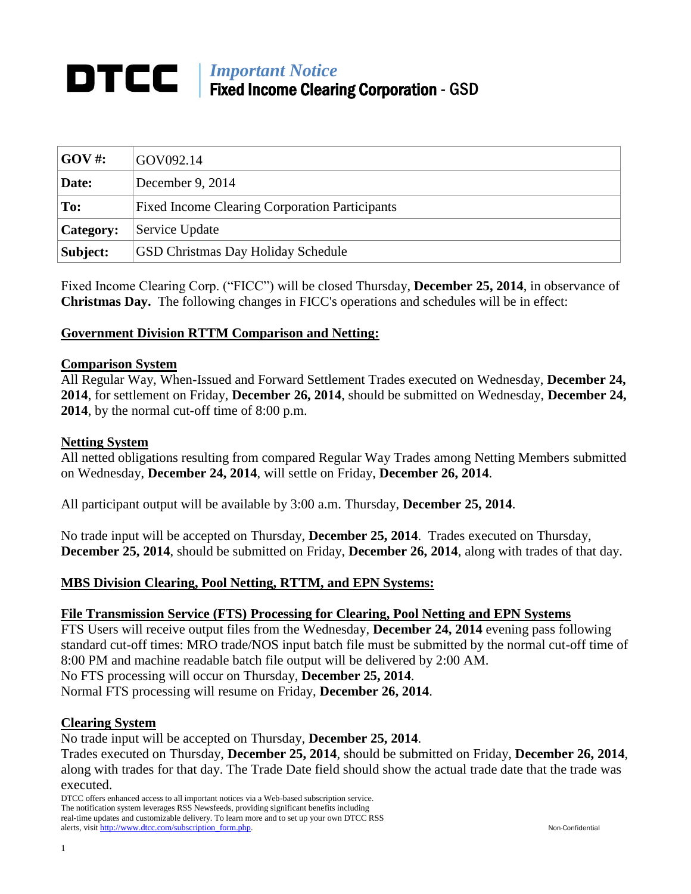# *Important Notice* Fixed Income Clearing Corporation - GSD

| $\mathbf{GOV}$ #: | GOV092.14                                             |
|-------------------|-------------------------------------------------------|
| Date:             | December 9, 2014                                      |
| $\mathbf{Toc}$ :  | <b>Fixed Income Clearing Corporation Participants</b> |
| <b>Category:</b>  | Service Update                                        |
| Subject:          | <b>GSD Christmas Day Holiday Schedule</b>             |

Fixed Income Clearing Corp. ("FICC") will be closed Thursday, **December 25, 2014**, in observance of **Christmas Day.** The following changes in FICC's operations and schedules will be in effect:

# **Government Division RTTM Comparison and Netting:**

#### **Comparison System**

All Regular Way, When-Issued and Forward Settlement Trades executed on Wednesday, **December 24, 2014**, for settlement on Friday, **December 26, 2014**, should be submitted on Wednesday, **December 24, 2014**, by the normal cut-off time of 8:00 p.m.

#### **Netting System**

All netted obligations resulting from compared Regular Way Trades among Netting Members submitted on Wednesday, **December 24, 2014**, will settle on Friday, **December 26, 2014**.

All participant output will be available by 3:00 a.m. Thursday, **December 25, 2014**.

No trade input will be accepted on Thursday, **December 25, 2014**. Trades executed on Thursday, **December 25, 2014**, should be submitted on Friday, **December 26, 2014**, along with trades of that day.

## **MBS Division Clearing, Pool Netting, RTTM, and EPN Systems:**

#### **File Transmission Service (FTS) Processing for Clearing, Pool Netting and EPN Systems**

FTS Users will receive output files from the Wednesday, **December 24, 2014** evening pass following standard cut-off times: MRO trade/NOS input batch file must be submitted by the normal cut-off time of 8:00 PM and machine readable batch file output will be delivered by 2:00 AM.

No FTS processing will occur on Thursday, **December 25, 2014**.

Normal FTS processing will resume on Friday, **December 26, 2014**.

## **Clearing System**

No trade input will be accepted on Thursday, **December 25, 2014**.

Trades executed on Thursday, **December 25, 2014**, should be submitted on Friday, **December 26, 2014**, along with trades for that day. The Trade Date field should show the actual trade date that the trade was executed.

DTCC offers enhanced access to all important notices via a Web-based subscription service. The notification system leverages RSS Newsfeeds, providing significant benefits including real-time updates and customizable delivery. To learn more and to set up your own DTCC RSS alerts, visit [http://www.dtcc.com/subscription\\_form.php.](http://www.dtcc.com/subscription_form.php) Non-Confidential